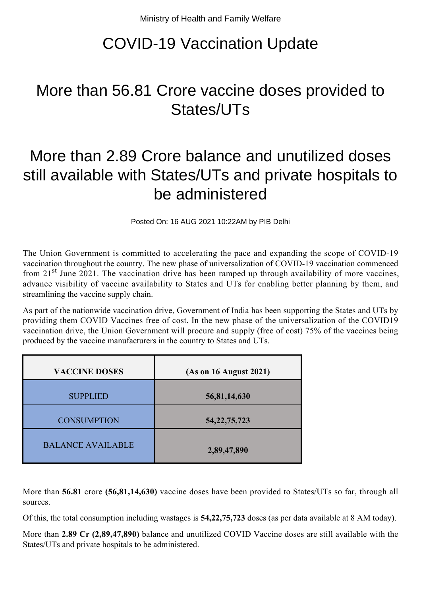# COVID-19 Vaccination Update

# More than 56.81 Crore vaccine doses provided to States/UTs

## More than 2.89 Crore balance and unutilized doses still available with States/UTs and private hospitals to be administered

Posted On: 16 AUG 2021 10:22AM by PIB Delhi

The Union Government is committed to accelerating the pace and expanding the scope of COVID-19 vaccination throughout the country. The new phase of universalization of COVID-19 vaccination commenced from 21<sup>st</sup> June 2021. The vaccination drive has been ramped up through availability of more vaccines, advance visibility of vaccine availability to States and UTs for enabling better planning by them, and streamlining the vaccine supply chain.

As part of the nationwide vaccination drive, Government of India has been supporting the States and UTs by providing them COVID Vaccines free of cost. In the new phase of the universalization of the COVID19 vaccination drive, the Union Government will procure and supply (free of cost) 75% of the vaccines being produced by the vaccine manufacturers in the country to States and UTs.

| <b>VACCINE DOSES</b>     | (As on 16 August 2021) |
|--------------------------|------------------------|
| <b>SUPPLIED</b>          | 56,81,14,630           |
| <b>CONSUMPTION</b>       | 54, 22, 75, 723        |
| <b>BALANCE AVAILABLE</b> | 2,89,47,890            |

More than **56.81** crore **(56,81,14,630)** vaccine doses have been provided to States/UTs so far, through all sources.

Of this, the total consumption including wastages is **54,22,75,723** doses (as per data available at 8 AM today).

More than **2.89 Cr (2,89,47,890)** balance and unutilized COVID Vaccine doses are still available with the States/UTs and private hospitals to be administered.